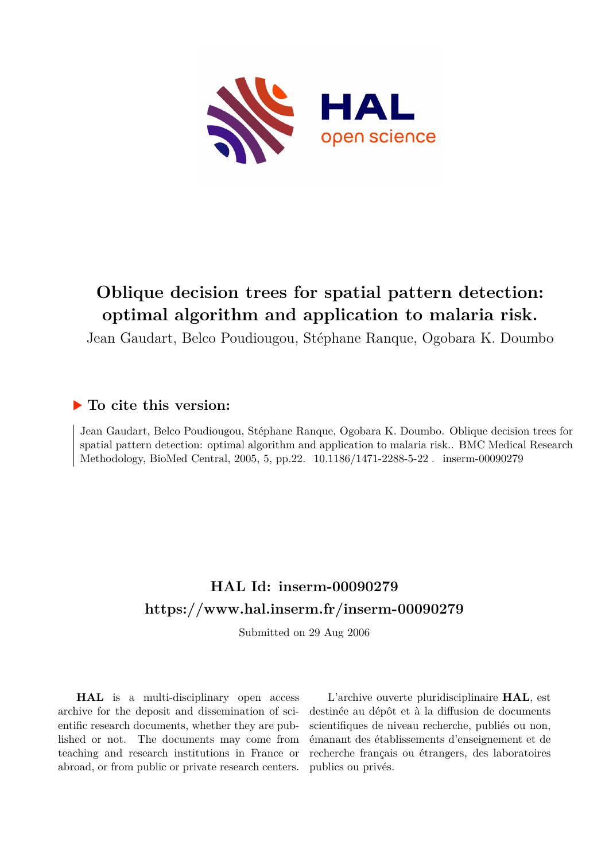

# **Oblique decision trees for spatial pattern detection: optimal algorithm and application to malaria risk.**

Jean Gaudart, Belco Poudiougou, Stéphane Ranque, Ogobara K. Doumbo

# **To cite this version:**

Jean Gaudart, Belco Poudiougou, Stéphane Ranque, Ogobara K. Doumbo. Oblique decision trees for spatial pattern detection: optimal algorithm and application to malaria risk.. BMC Medical Research Methodology, BioMed Central, 2005, 5, pp.22.  $10.1186/1471-2288-5-22$ . inserm-00090279

# **HAL Id: inserm-00090279 <https://www.hal.inserm.fr/inserm-00090279>**

Submitted on 29 Aug 2006

**HAL** is a multi-disciplinary open access archive for the deposit and dissemination of scientific research documents, whether they are published or not. The documents may come from teaching and research institutions in France or abroad, or from public or private research centers.

L'archive ouverte pluridisciplinaire **HAL**, est destinée au dépôt et à la diffusion de documents scientifiques de niveau recherche, publiés ou non, émanant des établissements d'enseignement et de recherche français ou étrangers, des laboratoires publics ou privés.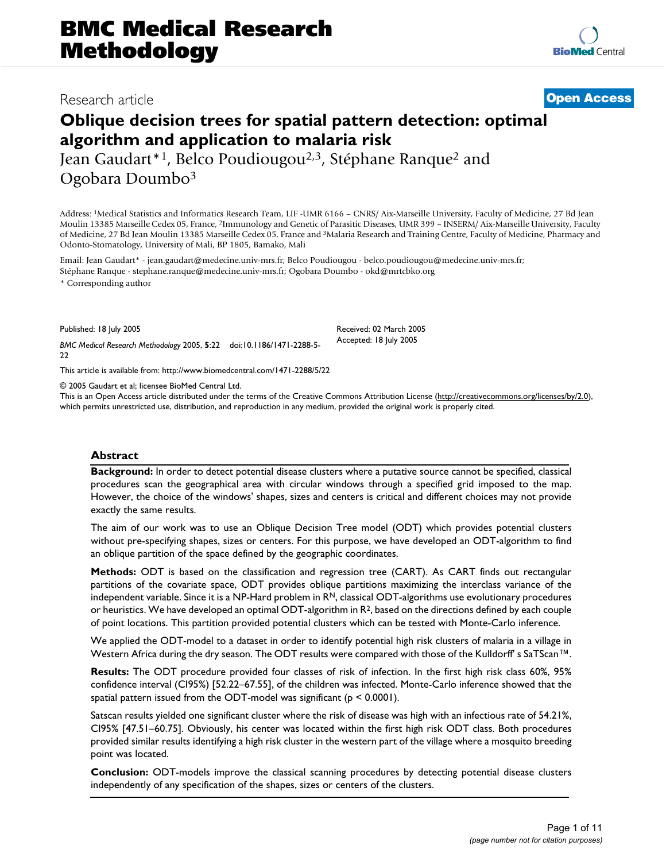# Research article **Contract Contract Contract Contract Contract Contract Contract Contract Contract Contract Contract Contract Contract Contract Contract Contract Contract Contract Contract Contract Contract Contract Contra**

# **Oblique decision trees for spatial pattern detection: optimal algorithm and application to malaria risk** Jean Gaudart\*<sup>1</sup>, Belco Poudiougou2,3, Stéphane Ranque<sup>2</sup> and

Ogobara Doumbo<sup>3</sup>

Address: <sup>1</sup>Medical Statistics and Informatics Research Team, LIF -UMR 6166 – CNRS/ Aix-Marseille University, Faculty of Medicine, 27 Bd Jean Moulin 13385 Marseille Cedex 05, France, <sup>2</sup>Immunology and Genetic of Parasitic Diseases, UMR 399 – INSERM/ Aix-Marseille University, Faculty of Medicine, 27 Bd Jean Moulin 13385 Marseille Cedex 05, France and <sup>3</sup>Malaria Research and Training Centre, Faculty of Medicine, Pharmacy and Odonto-Stomatology, University of Mali, BP 1805, Bamako, Mali

Email: Jean Gaudart\* - jean.gaudart@medecine.univ-mrs.fr; Belco Poudiougou - belco.poudiougou@medecine.univ-mrs.fr; Stéphane Ranque - stephane.ranque@medecine.univ-mrs.fr; Ogobara Doumbo - okd@mrtcbko.org \* Corresponding author

Published: 18 July 2005

*BMC Medical Research Methodology* 2005, **5**:22 doi:10.1186/1471-2288-5- 22

[This article is available from: http://www.biomedcentral.com/1471-2288/5/22](http://www.biomedcentral.com/1471-2288/5/22)

© 2005 Gaudart et al; licensee BioMed Central Ltd.

This is an Open Access article distributed under the terms of the Creative Commons Attribution License [\(http://creativecommons.org/licenses/by/2.0\)](http://creativecommons.org/licenses/by/2.0), which permits unrestricted use, distribution, and reproduction in any medium, provided the original work is properly cited.

Received: 02 March 2005 Accepted: 18 July 2005

### **Abstract**

**Background:** In order to detect potential disease clusters where a putative source cannot be specified, classical procedures scan the geographical area with circular windows through a specified grid imposed to the map. However, the choice of the windows' shapes, sizes and centers is critical and different choices may not provide exactly the same results.

The aim of our work was to use an Oblique Decision Tree model (ODT) which provides potential clusters without pre-specifying shapes, sizes or centers. For this purpose, we have developed an ODT-algorithm to find an oblique partition of the space defined by the geographic coordinates.

**Methods:** ODT is based on the classification and regression tree (CART). As CART finds out rectangular partitions of the covariate space, ODT provides oblique partitions maximizing the interclass variance of the independent variable. Since it is a NP-Hard problem in  $R^N$ , classical ODT-algorithms use evolutionary procedures or heuristics. We have developed an optimal ODT-algorithm in  $R^2$ , based on the directions defined by each couple of point locations. This partition provided potential clusters which can be tested with Monte-Carlo inference.

We applied the ODT-model to a dataset in order to identify potential high risk clusters of malaria in a village in Western Africa during the dry season. The ODT results were compared with those of the Kulldorff' s SaTScan™.

**Results:** The ODT procedure provided four classes of risk of infection. In the first high risk class 60%, 95% confidence interval (CI95%) [52.22–67.55], of the children was infected. Monte-Carlo inference showed that the spatial pattern issued from the ODT-model was significant (p < 0.0001).

Satscan results yielded one significant cluster where the risk of disease was high with an infectious rate of 54.21%, CI95% [47.51–60.75]. Obviously, his center was located within the first high risk ODT class. Both procedures provided similar results identifying a high risk cluster in the western part of the village where a mosquito breeding point was located.

**Conclusion:** ODT-models improve the classical scanning procedures by detecting potential disease clusters independently of any specification of the shapes, sizes or centers of the clusters.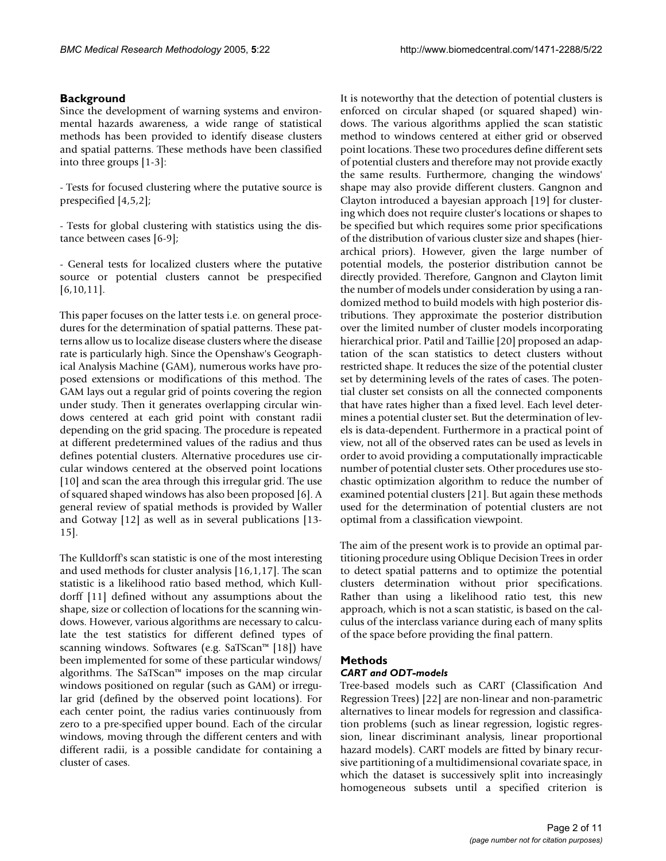## **Background**

Since the development of warning systems and environmental hazards awareness, a wide range of statistical methods has been provided to identify disease clusters and spatial patterns. These methods have been classified into three groups [1-3]:

- Tests for focused clustering where the putative source is prespecified [4,5,2];

- Tests for global clustering with statistics using the distance between cases [6-9];

- General tests for localized clusters where the putative source or potential clusters cannot be prespecified  $[6,10,11]$ .

This paper focuses on the latter tests i.e. on general procedures for the determination of spatial patterns. These patterns allow us to localize disease clusters where the disease rate is particularly high. Since the Openshaw's Geographical Analysis Machine (GAM), numerous works have proposed extensions or modifications of this method. The GAM lays out a regular grid of points covering the region under study. Then it generates overlapping circular windows centered at each grid point with constant radii depending on the grid spacing. The procedure is repeated at different predetermined values of the radius and thus defines potential clusters. Alternative procedures use circular windows centered at the observed point locations [10] and scan the area through this irregular grid. The use of squared shaped windows has also been proposed [6]. A general review of spatial methods is provided by Waller and Gotway [12] as well as in several publications [13- 15].

The Kulldorff's scan statistic is one of the most interesting and used methods for cluster analysis [16,1,17]. The scan statistic is a likelihood ratio based method, which Kulldorff [11] defined without any assumptions about the shape, size or collection of locations for the scanning windows. However, various algorithms are necessary to calculate the test statistics for different defined types of scanning windows. Softwares (e.g. SaTScan™ [18]) have been implemented for some of these particular windows/ algorithms. The SaTScan™ imposes on the map circular windows positioned on regular (such as GAM) or irregular grid (defined by the observed point locations). For each center point, the radius varies continuously from zero to a pre-specified upper bound. Each of the circular windows, moving through the different centers and with different radii, is a possible candidate for containing a cluster of cases.

It is noteworthy that the detection of potential clusters is enforced on circular shaped (or squared shaped) windows. The various algorithms applied the scan statistic method to windows centered at either grid or observed point locations. These two procedures define different sets of potential clusters and therefore may not provide exactly the same results. Furthermore, changing the windows' shape may also provide different clusters. Gangnon and Clayton introduced a bayesian approach [19] for clustering which does not require cluster's locations or shapes to be specified but which requires some prior specifications of the distribution of various cluster size and shapes (hierarchical priors). However, given the large number of potential models, the posterior distribution cannot be directly provided. Therefore, Gangnon and Clayton limit the number of models under consideration by using a randomized method to build models with high posterior distributions. They approximate the posterior distribution over the limited number of cluster models incorporating hierarchical prior. Patil and Taillie [20] proposed an adaptation of the scan statistics to detect clusters without restricted shape. It reduces the size of the potential cluster set by determining levels of the rates of cases. The potential cluster set consists on all the connected components that have rates higher than a fixed level. Each level determines a potential cluster set. But the determination of levels is data-dependent. Furthermore in a practical point of view, not all of the observed rates can be used as levels in order to avoid providing a computationally impracticable number of potential cluster sets. Other procedures use stochastic optimization algorithm to reduce the number of examined potential clusters [21]. But again these methods used for the determination of potential clusters are not optimal from a classification viewpoint.

The aim of the present work is to provide an optimal partitioning procedure using Oblique Decision Trees in order to detect spatial patterns and to optimize the potential clusters determination without prior specifications. Rather than using a likelihood ratio test, this new approach, which is not a scan statistic, is based on the calculus of the interclass variance during each of many splits of the space before providing the final pattern.

# **Methods**

## *CART and ODT-models*

Tree-based models such as CART (Classification And Regression Trees) [22] are non-linear and non-parametric alternatives to linear models for regression and classification problems (such as linear regression, logistic regression, linear discriminant analysis, linear proportional hazard models). CART models are fitted by binary recursive partitioning of a multidimensional covariate space, in which the dataset is successively split into increasingly homogeneous subsets until a specified criterion is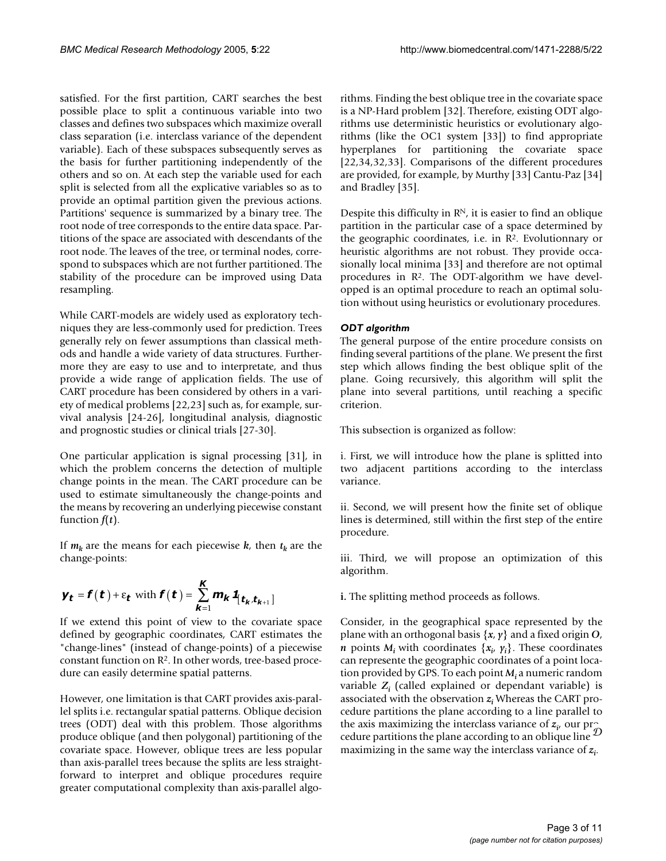satisfied. For the first partition, CART searches the best possible place to split a continuous variable into two classes and defines two subspaces which maximize overall class separation (i.e. interclass variance of the dependent variable). Each of these subspaces subsequently serves as the basis for further partitioning independently of the others and so on. At each step the variable used for each split is selected from all the explicative variables so as to provide an optimal partition given the previous actions. Partitions' sequence is summarized by a binary tree. The root node of tree corresponds to the entire data space. Partitions of the space are associated with descendants of the root node. The leaves of the tree, or terminal nodes, correspond to subspaces which are not further partitioned. The stability of the procedure can be improved using Data resampling.

While CART-models are widely used as exploratory techniques they are less-commonly used for prediction. Trees generally rely on fewer assumptions than classical methods and handle a wide variety of data structures. Furthermore they are easy to use and to interpretate, and thus provide a wide range of application fields. The use of CART procedure has been considered by others in a variety of medical problems [22,23] such as, for example, survival analysis [24-26], longitudinal analysis, diagnostic and prognostic studies or clinical trials [27-30].

One particular application is signal processing [31], in which the problem concerns the detection of multiple change points in the mean. The CART procedure can be used to estimate simultaneously the change-points and the means by recovering an underlying piecewise constant function  $f(t)$ .

If  $m_k$  are the means for each piecewise  $k$ , then  $t_k$  are the change-points:

$$
\boldsymbol{y_t} = \boldsymbol{f(t)} + \varepsilon_t \text{ with } \boldsymbol{f(t)} = \sum_{k=1}^K \boldsymbol{m_k} \, \boldsymbol{1}_{[t_k, t_{k+1}]}
$$

If we extend this point of view to the covariate space defined by geographic coordinates, CART estimates the "change-lines" (instead of change-points) of a piecewise constant function on R2. In other words, tree-based procedure can easily determine spatial patterns.

However, one limitation is that CART provides axis-parallel splits i.e. rectangular spatial patterns. Oblique decision trees (ODT) deal with this problem. Those algorithms produce oblique (and then polygonal) partitioning of the covariate space. However, oblique trees are less popular than axis-parallel trees because the splits are less straightforward to interpret and oblique procedures require greater computational complexity than axis-parallel algorithms. Finding the best oblique tree in the covariate space is a NP-Hard problem [32]. Therefore, existing ODT algorithms use deterministic heuristics or evolutionary algorithms (like the OC1 system [33]) to find appropriate hyperplanes for partitioning the covariate space [22,34,32,33]. Comparisons of the different procedures are provided, for example, by Murthy [33] Cantu-Paz [34] and Bradley [35].

Despite this difficulty in  $R<sup>N</sup>$ , it is easier to find an oblique partition in the particular case of a space determined by the geographic coordinates, i.e. in R<sup>2</sup>. Evolutionnary or heuristic algorithms are not robust. They provide occasionally local minima [33] and therefore are not optimal procedures in R2. The ODT-algorithm we have developped is an optimal procedure to reach an optimal solution without using heuristics or evolutionary procedures.

#### *ODT algorithm*

The general purpose of the entire procedure consists on finding several partitions of the plane. We present the first step which allows finding the best oblique split of the plane. Going recursively, this algorithm will split the plane into several partitions, until reaching a specific criterion.

This subsection is organized as follow:

i. First, we will introduce how the plane is splitted into two adjacent partitions according to the interclass variance.

ii. Second, we will present how the finite set of oblique lines is determined, still within the first step of the entire procedure.

iii. Third, we will propose an optimization of this algorithm.

**i.** The splitting method proceeds as follows.

Consider, in the geographical space represented by the plane with an orthogonal basis {*x*, *y*} and a fixed origin *O*, *n* points  $M_i$  with coordinates  $\{x_i, \gamma_i\}$ . These coordinates can represente the geographic coordinates of a point location provided by GPS. To each point *Mi* a numeric random variable  $Z_i$  (called explained or dependant variable) is associated with the observation *zi* Whereas the CART procedure partitions the plane according to a line parallel to the axis maximizing the interclass variance of  $z_i$ , our  $pr_{\mathcal{D}}^{\sim}$ cedure partitions the plane according to an oblique line  $\mathcal D$ maximizing in the same way the interclass variance of *z<sup>i</sup>* .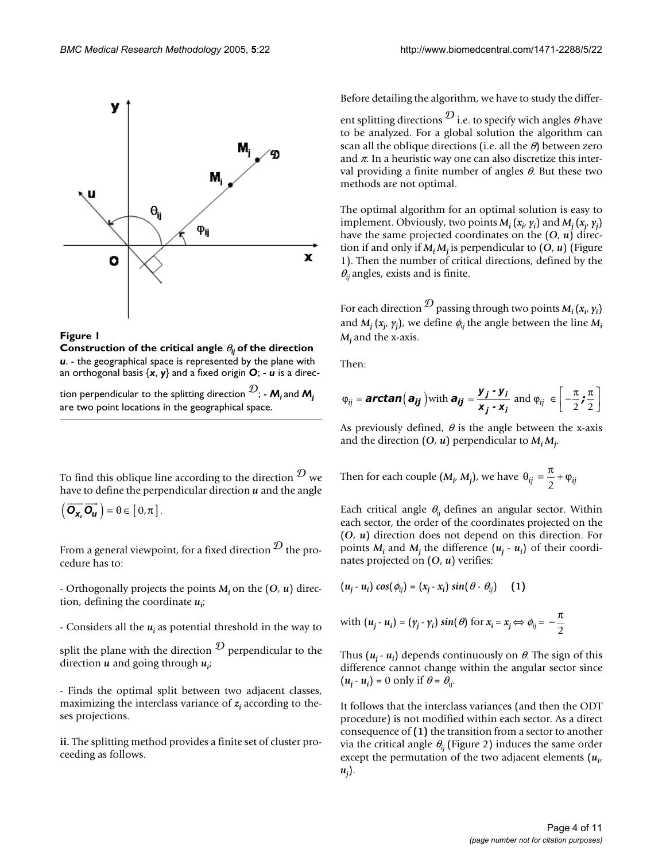

## Construction of the critical angle **Figure 1** <sup>θ</sup>*ij* of the direction *u*

**Construction of the critical angle** θ*ij* **of the direction**  *u*. - the geographical space is represented by the plane with an orthogonal basis {*x*, *y*} and a fixed origin *O*; - *u* is a direction perpendicular to the splitting direction  $^{\mathcal{D}_{\mathsf{j}}}$  -  $\bm{\mathsf{M}}_{\mathsf{j}}$  and  $\bm{\mathsf{M}}_{\mathsf{j}}$ 

are two point locations in the geographical space.

To find this oblique line according to the direction  $^{\mathcal{D}}$  we have to define the perpendicular direction *u* and the angle

.

$$
\left(\overrightarrow{\boldsymbol{O_{x}},\boldsymbol{O_{u}}}\,\right)=\theta\in\big[\,0,\pi\,\big]
$$

From a general viewpoint, for a fixed direction  ${\mathcal D}$  the procedure has to:

- Orthogonally projects the points *Mi* on the (*O*, *u*) direction, defining the coordinate *u<sup>i</sup>* ;

- Considers all the  $u_i$  as potential threshold in the way to

split the plane with the direction  $^{\mathcal{D}}$  perpendicular to the direction *u* and going through *u<sup>i</sup>* ;

- Finds the optimal split between two adjacent classes, maximizing the interclass variance of  $z_i$  according to theses projections.

**ii.** The splitting method provides a finite set of cluster proceeding as follows.

Before detailing the algorithm, we have to study the differ-

ent splitting directions  $^{\mathcal{D}}$  i.e. to specify wich angles  $\theta$  have to be analyzed. For a global solution the algorithm can scan all the oblique directions (i.e. all the  $\theta$ ) between zero and  $\pi$ . In a heuristic way one can also discretize this interval providing a finite number of angles  $\theta$ . But these two methods are not optimal.

The optimal algorithm for an optimal solution is easy to implement. Obviously, two points  $M_i(x_i, y_i)$  and  $M_j(x_j, y_j)$ have the same projected coordinates on the (*O*, *u*) direction if and only if  $M_i M_j$  is perpendicular to  $(O, u)$  (Figure 1). Then the number of critical directions, defined by the  $\theta_{ii}$  angles, exists and is finite.

For each direction  $^\mathcal{D}$  passing through two points  $M_i$  ( $x_i$ ,  $y_i$ ) and  $M_j$   $(x_j, y_j)$ , we define  $\phi_{ij}$  the angle between the line  $M_i$  $M_i$  and the x-axis.

Then:

$$
\varphi_{ij} = \textbf{arctan}\left(\textbf{a}_{ij}\right) \text{with } \textbf{a}_{ij} = \frac{\textbf{y}_j \cdot \textbf{y}_i}{\textbf{x}_j \cdot \textbf{x}_i} \text{ and } \varphi_{ij} \in \left[-\frac{\pi}{2}, \frac{\pi}{2}\right]
$$

As previously defined,  $\theta$  is the angle between the x-axis and the direction (*O*, *u*) perpendicular to *Mi M<sup>j</sup>* .

Then for each couple 
$$
(M_i, M_j)
$$
, we have  $\theta_{ij} = \frac{\pi}{2} + \varphi_{ij}$ 

Each critical angle  $\theta_{ii}$  defines an angular sector. Within each sector, the order of the coordinates projected on the (*O*, *u*) direction does not depend on this direction. For points  $M_i$  and  $M_j$  the difference  $(u_j - u_i)$  of their coordinates projected on (*O*, *u*) verifies:

$$
(u_j - u_i) \cos(\phi_{ij}) = (x_j - x_i) \sin(\theta - \theta_{ij}) \qquad (1)
$$

with 
$$
(u_j - u_i) = (y_j - y_i) \sin(\theta)
$$
 for  $x_i = x_j \Leftrightarrow \phi_{ij} = -\frac{\pi}{2}$ 

Thus  $(u_j - u_i)$  depends continuously on  $\theta$ . The sign of this difference cannot change within the angular sector since  $(u_j - u_i) = 0$  only if  $\theta = \theta_{ij}$ .

It follows that the interclass variances (and then the ODT procedure) is not modified within each sector. As a direct consequence of **(1)** the transition from a sector to another via the critical angle  $\theta_{ii}$  (Figure 2) induces the same order except the permutation of the two adjacent elements (*u<sup>i</sup>* , *uj* ).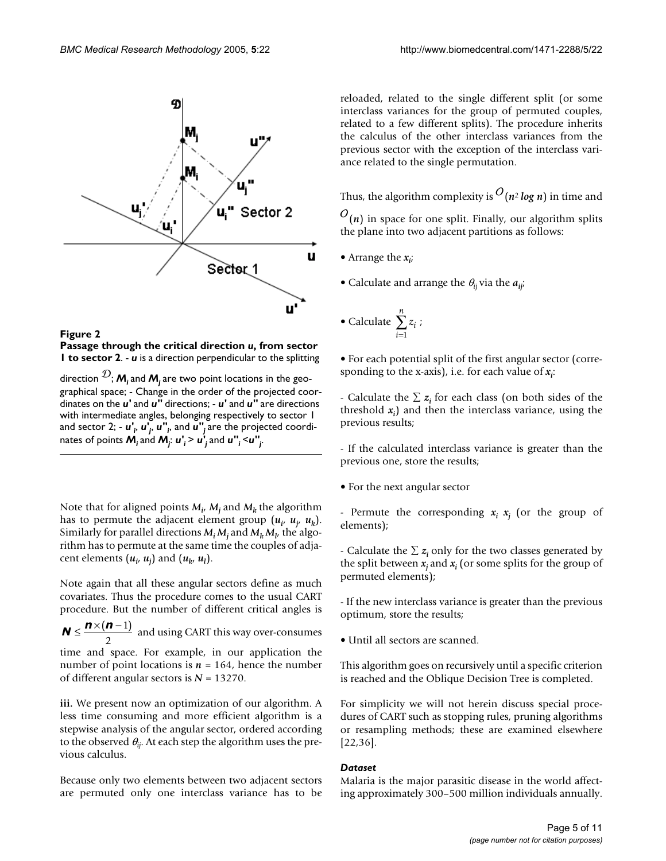



**Passage through the critical direction** *u***, from sector 1 to sector 2**. - *u* is a direction perpendicular to the splitting

direction  $^{\mathcal{D}}$ ; **M**, and **M**, are two point locations in the geographical space; - Change in the order of the projected coordinates on the *u'* and *u"* directions; - *u'* and *u"* are directions with intermediate angles, belonging respectively to sector 1 and sector 2; - *u'<sup>i</sup>* , *u'<sup>j</sup>* , *u"<sup>i</sup>* , and *u"j* are the projected coordinates of points *Mi* and *M<sup>j</sup>* : *u'i* > *u'j* and *u"i* <*u"<sup>j</sup>* .

Note that for aligned points *M<sup>i</sup>* , *Mj* and *Mk* the algorithm has to permute the adjacent element group  $(u_i, u_j, u_k)$ . Similarly for parallel directions  $M_i M_j$  and  $M_k M_{l'}$  the algorithm has to permute at the same time the couples of adjacent elements  $(u_i, u_j)$  and  $(u_{k'}, u_l)$ .

Note again that all these angular sectors define as much covariates. Thus the procedure comes to the usual CART procedure. But the number of different critical angles is

 $\mathbf{N} \leq \frac{\mathbf{n} \times (\mathbf{n} - 1)}{n}$  and using CART this way over-consumes 2

time and space. For example, in our application the number of point locations is  $n = 164$ , hence the number of different angular sectors is *N* = 13270.

**iii.** We present now an optimization of our algorithm. A less time consuming and more efficient algorithm is a stepwise analysis of the angular sector, ordered according to the observed  $\theta_{ii}$ . At each step the algorithm uses the previous calculus.

Because only two elements between two adjacent sectors are permuted only one interclass variance has to be reloaded, related to the single different split (or some interclass variances for the group of permuted couples, related to a few different splits). The procedure inherits the calculus of the other interclass variances from the previous sector with the exception of the interclass variance related to the single permutation.

Thus, the algorithm complexity is  $^{O}(n^2\log n)$  in time and  ${^O}(n)$  in space for one split. Finally, our algorithm splits the plane into two adjacent partitions as follows:

- Arrange the *x<sup>i</sup>* ;
- Calculate and arrange the  $\theta_{ii}$  via the  $a_{ii'}$

• Calculate 
$$
\sum_{i=1}^{n} z_i
$$
;

• For each potential split of the first angular sector (corresponding to the x-axis), i.e. for each value of *x<sup>i</sup>* :

- Calculate the ∑ *zi* for each class (on both sides of the threshold *x<sup>i</sup>* ) and then the interclass variance, using the previous results;

- If the calculated interclass variance is greater than the previous one, store the results;

• For the next angular sector

- Permute the corresponding  $x_i$   $x_j$  (or the group of elements);

- Calculate the ∑ *zi* only for the two classes generated by the split between  $x_i$  and  $x_i$  (or some splits for the group of permuted elements);

- If the new interclass variance is greater than the previous optimum, store the results;

• Until all sectors are scanned.

This algorithm goes on recursively until a specific criterion is reached and the Oblique Decision Tree is completed.

For simplicity we will not herein discuss special procedures of CART such as stopping rules, pruning algorithms or resampling methods; these are examined elsewhere [22,36].

#### *Dataset*

Malaria is the major parasitic disease in the world affecting approximately 300–500 million individuals annually.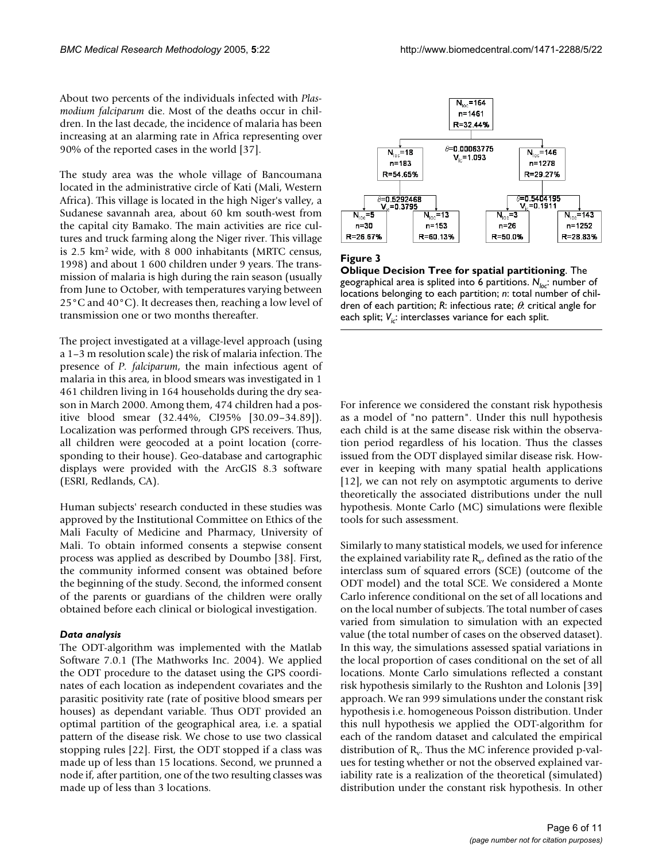About two percents of the individuals infected with *Plasmodium falciparum* die. Most of the deaths occur in children. In the last decade, the incidence of malaria has been increasing at an alarming rate in Africa representing over 90% of the reported cases in the world [37].

The study area was the whole village of Bancoumana located in the administrative circle of Kati (Mali, Western Africa). This village is located in the high Niger's valley, a Sudanese savannah area, about 60 km south-west from the capital city Bamako. The main activities are rice cultures and truck farming along the Niger river. This village is 2.5 km<sup>2</sup>wide, with 8 000 inhabitants (MRTC census, 1998) and about 1 600 children under 9 years. The transmission of malaria is high during the rain season (usually from June to October, with temperatures varying between 25°C and 40°C). It decreases then, reaching a low level of transmission one or two months thereafter.

The project investigated at a village-level approach (using a 1–3 m resolution scale) the risk of malaria infection. The presence of *P. falciparum*, the main infectious agent of malaria in this area, in blood smears was investigated in 1 461 children living in 164 households during the dry season in March 2000. Among them, 474 children had a positive blood smear (32.44%, CI95% [30.09–34.89]). Localization was performed through GPS receivers. Thus, all children were geocoded at a point location (corresponding to their house). Geo-database and cartographic displays were provided with the ArcGIS 8.3 software (ESRI, Redlands, CA).

Human subjects' research conducted in these studies was approved by the Institutional Committee on Ethics of the Mali Faculty of Medicine and Pharmacy, University of Mali. To obtain informed consents a stepwise consent process was applied as described by Doumbo [38]. First, the community informed consent was obtained before the beginning of the study. Second, the informed consent of the parents or guardians of the children were orally obtained before each clinical or biological investigation.

#### *Data analysis*

The ODT-algorithm was implemented with the Matlab Software 7.0.1 (The Mathworks Inc. 2004). We applied the ODT procedure to the dataset using the GPS coordinates of each location as independent covariates and the parasitic positivity rate (rate of positive blood smears per houses) as dependant variable. Thus ODT provided an optimal partition of the geographical area, i.e. a spatial pattern of the disease risk. We chose to use two classical stopping rules [22]. First, the ODT stopped if a class was made up of less than 15 locations. Second, we prunned a node if, after partition, one of the two resulting classes was made up of less than 3 locations.



**Figure 3** 

**Oblique Decision Tree for spatial partitioning**. The geographical area is splited into 6 partitions. *Nloc*: number of locations belonging to each partition; *n*: total number of children of each partition; R: infectious rate;  $\theta$ : critical angle for each split; *Vic*: interclasses variance for each split.

For inference we considered the constant risk hypothesis as a model of "no pattern". Under this null hypothesis each child is at the same disease risk within the observation period regardless of his location. Thus the classes issued from the ODT displayed similar disease risk. However in keeping with many spatial health applications [12], we can not rely on asymptotic arguments to derive theoretically the associated distributions under the null hypothesis. Monte Carlo (MC) simulations were flexible tools for such assessment.

Similarly to many statistical models, we used for inference the explained variability rate  $\mathrm{R}_{\mathrm{v}^{\prime}}$  defined as the ratio of the interclass sum of squared errors (SCE) (outcome of the ODT model) and the total SCE. We considered a Monte Carlo inference conditional on the set of all locations and on the local number of subjects. The total number of cases varied from simulation to simulation with an expected value (the total number of cases on the observed dataset). In this way, the simulations assessed spatial variations in the local proportion of cases conditional on the set of all locations. Monte Carlo simulations reflected a constant risk hypothesis similarly to the Rushton and Lolonis [39] approach. We ran 999 simulations under the constant risk hypothesis i.e. homogeneous Poisson distribution. Under this null hypothesis we applied the ODT-algorithm for each of the random dataset and calculated the empirical distribution of  $R_v$ . Thus the MC inference provided p-values for testing whether or not the observed explained variability rate is a realization of the theoretical (simulated) distribution under the constant risk hypothesis. In other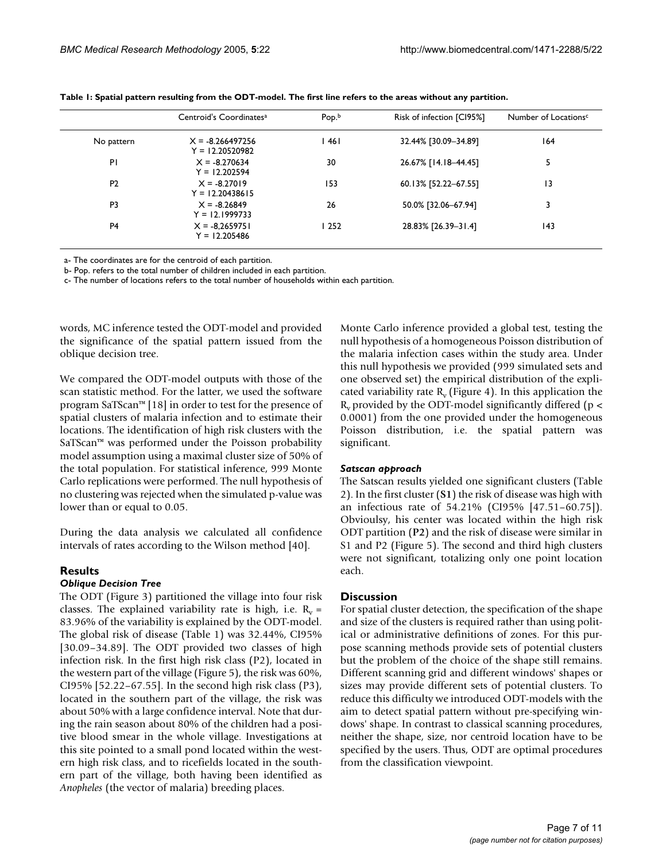|                | Centroid's Coordinates <sup>a</sup>     | Pop.b  | Risk of infection [Cl95%] | Number of Locations <sup>c</sup> |
|----------------|-----------------------------------------|--------|---------------------------|----------------------------------|
| No pattern     | $X = -8.266497256$<br>$Y = 12.20520982$ | l 46 l | 32.44% [30.09-34.89]      | 164                              |
| <b>PI</b>      | $X = -8.270634$<br>$Y = 12.202594$      | 30     | 26.67% [14.18-44.45]      | 5                                |
| P <sub>2</sub> | $X = -8.27019$<br>$Y = 12.20438615$     | 153    | 60.13% [52.22-67.55]      | 13                               |
| P <sub>3</sub> | $X = -8.26849$<br>$Y = 12.1999733$      | 26     | 50.0% [32.06-67.94]       |                                  |
| P <sub>4</sub> | $X = -8,2659751$<br>$Y = 12.205486$     | l 252  | 28.83% [26.39-31.4]       | 143                              |

**Table 1: Spatial pattern resulting from the ODT-model. The first line refers to the areas without any partition.**

a- The coordinates are for the centroid of each partition.

b- Pop. refers to the total number of children included in each partition.

c- The number of locations refers to the total number of households within each partition.

words, MC inference tested the ODT-model and provided the significance of the spatial pattern issued from the oblique decision tree.

We compared the ODT-model outputs with those of the scan statistic method. For the latter, we used the software program SaTScan™ [18] in order to test for the presence of spatial clusters of malaria infection and to estimate their locations. The identification of high risk clusters with the SaTScan™ was performed under the Poisson probability model assumption using a maximal cluster size of 50% of the total population. For statistical inference, 999 Monte Carlo replications were performed. The null hypothesis of no clustering was rejected when the simulated p-value was lower than or equal to 0.05.

During the data analysis we calculated all confidence intervals of rates according to the Wilson method [40].

#### **Results**

#### *Oblique Decision Tree*

The ODT (Figure 3) partitioned the village into four risk classes. The explained variability rate is high, i.e.  $R_v =$ 83.96% of the variability is explained by the ODT-model. The global risk of disease (Table 1) was 32.44%, CI95% [30.09–34.89]. The ODT provided two classes of high infection risk. In the first high risk class (P2), located in the western part of the village (Figure [5\)](#page-8-0), the risk was 60%, CI95% [52.22–67.55]. In the second high risk class (P3), located in the southern part of the village, the risk was about 50% with a large confidence interval. Note that during the rain season about 80% of the children had a positive blood smear in the whole village. Investigations at this site pointed to a small pond located within the western high risk class, and to ricefields located in the southern part of the village, both having been identified as *Anopheles* (the vector of malaria) breeding places.

Monte Carlo inference provided a global test, testing the null hypothesis of a homogeneous Poisson distribution of the malaria infection cases within the study area. Under this null hypothesis we provided (999 simulated sets and one observed set) the empirical distribution of the explicated variability rate  $R_v$  (Figure 4). In this application the  $R_v$  provided by the ODT-model significantly differed (p < 0.0001) from the one provided under the homogeneous Poisson distribution, i.e. the spatial pattern was significant.

#### *Satscan approach*

The Satscan results yielded one significant clusters (Table 2). In the first cluster (**S1**) the risk of disease was high with an infectious rate of 54.21% (CI95% [47.51–60.75]). Obvioulsy, his center was located within the high risk ODT partition (**P2**) and the risk of disease were similar in S1 and P2 (Figure [5\)](#page-8-0). The second and third high clusters were not significant, totalizing only one point location each.

#### **Discussion**

For spatial cluster detection, the specification of the shape and size of the clusters is required rather than using political or administrative definitions of zones. For this purpose scanning methods provide sets of potential clusters but the problem of the choice of the shape still remains. Different scanning grid and different windows' shapes or sizes may provide different sets of potential clusters. To reduce this difficulty we introduced ODT-models with the aim to detect spatial pattern without pre-specifying windows' shape. In contrast to classical scanning procedures, neither the shape, size, nor centroid location have to be specified by the users. Thus, ODT are optimal procedures from the classification viewpoint.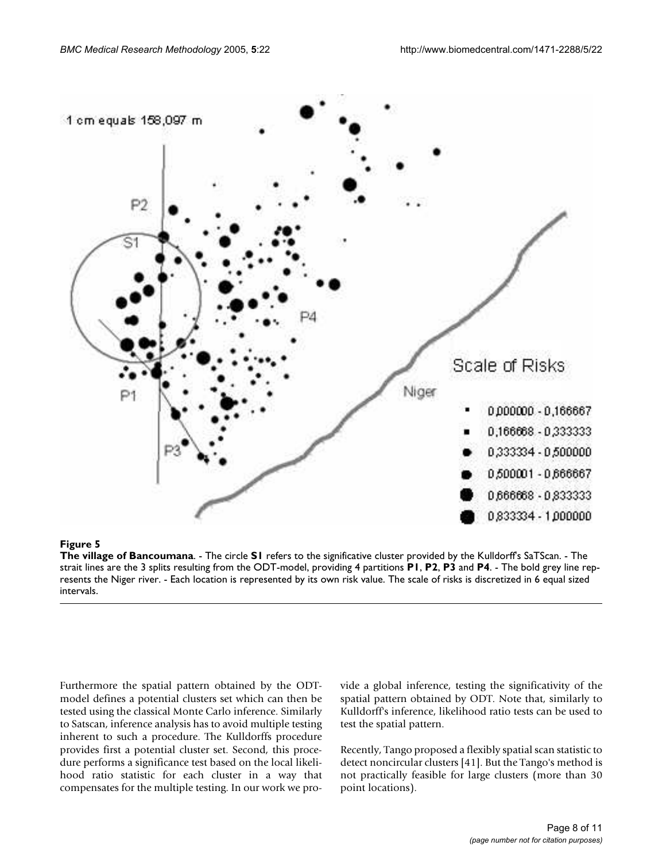<span id="page-8-0"></span>

### **Figure 5**

**The village of Bancoumana**. - The circle **S1** refers to the significative cluster provided by the Kulldorff's SaTScan. - The strait lines are the 3 splits resulting from the ODT-model, providing 4 partitions **P1**, **P2**, **P3** and **P4**. - The bold grey line represents the Niger river. - Each location is represented by its own risk value. The scale of risks is discretized in 6 equal sized intervals.

Furthermore the spatial pattern obtained by the ODTmodel defines a potential clusters set which can then be tested using the classical Monte Carlo inference. Similarly to Satscan, inference analysis has to avoid multiple testing inherent to such a procedure. The Kulldorffs procedure provides first a potential cluster set. Second, this procedure performs a significance test based on the local likelihood ratio statistic for each cluster in a way that compensates for the multiple testing. In our work we provide a global inference, testing the significativity of the spatial pattern obtained by ODT. Note that, similarly to Kulldorff's inference, likelihood ratio tests can be used to test the spatial pattern.

Recently, Tango proposed a flexibly spatial scan statistic to detect noncircular clusters [41]. But the Tango's method is not practically feasible for large clusters (more than 30 point locations).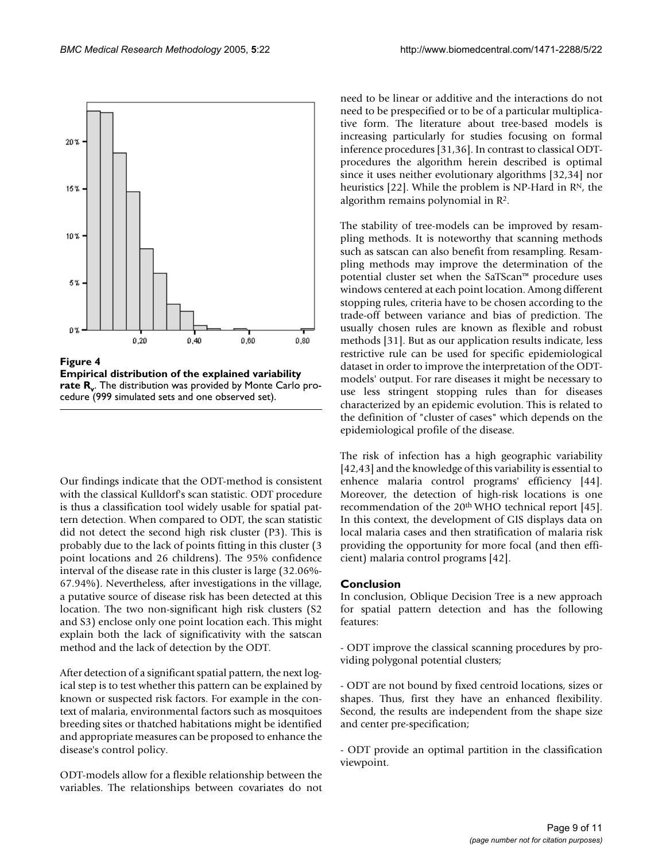

**Figure 4 Empirical distribution of the explained variability rate R<sup>v</sup>** . The distribution was provided by Monte Carlo procedure (999 simulated sets and one observed set).

Our findings indicate that the ODT-method is consistent with the classical Kulldorf's scan statistic. ODT procedure is thus a classification tool widely usable for spatial pattern detection. When compared to ODT, the scan statistic did not detect the second high risk cluster (P3). This is probably due to the lack of points fitting in this cluster (3 point locations and 26 childrens). The 95% confidence interval of the disease rate in this cluster is large (32.06%- 67.94%). Nevertheless, after investigations in the village, a putative source of disease risk has been detected at this location. The two non-significant high risk clusters (S2 and S3) enclose only one point location each. This might explain both the lack of significativity with the satscan method and the lack of detection by the ODT.

After detection of a significant spatial pattern, the next logical step is to test whether this pattern can be explained by known or suspected risk factors. For example in the context of malaria, environmental factors such as mosquitoes breeding sites or thatched habitations might be identified and appropriate measures can be proposed to enhance the disease's control policy.

ODT-models allow for a flexible relationship between the variables. The relationships between covariates do not need to be linear or additive and the interactions do not need to be prespecified or to be of a particular multiplicative form. The literature about tree-based models is increasing particularly for studies focusing on formal inference procedures [31,36]. In contrast to classical ODTprocedures the algorithm herein described is optimal since it uses neither evolutionary algorithms [32,34] nor heuristics [22]. While the problem is NP-Hard in  $\mathbb{R}^N$ , the algorithm remains polynomial in R<sup>2</sup>.

The stability of tree-models can be improved by resampling methods. It is noteworthy that scanning methods such as satscan can also benefit from resampling. Resampling methods may improve the determination of the potential cluster set when the SaTScan™ procedure uses windows centered at each point location. Among different stopping rules, criteria have to be chosen according to the trade-off between variance and bias of prediction. The usually chosen rules are known as flexible and robust methods [31]. But as our application results indicate, less restrictive rule can be used for specific epidemiological dataset in order to improve the interpretation of the ODTmodels' output. For rare diseases it might be necessary to use less stringent stopping rules than for diseases characterized by an epidemic evolution. This is related to the definition of "cluster of cases" which depends on the epidemiological profile of the disease.

The risk of infection has a high geographic variability [42,43] and the knowledge of this variability is essential to enhence malaria control programs' efficiency [44]. Moreover, the detection of high-risk locations is one recommendation of the 20<sup>th</sup> WHO technical report [45]. In this context, the development of GIS displays data on local malaria cases and then stratification of malaria risk providing the opportunity for more focal (and then efficient) malaria control programs [42].

### **Conclusion**

In conclusion, Oblique Decision Tree is a new approach for spatial pattern detection and has the following features:

- ODT improve the classical scanning procedures by providing polygonal potential clusters;

- ODT are not bound by fixed centroid locations, sizes or shapes. Thus, first they have an enhanced flexibility. Second, the results are independent from the shape size and center pre-specification;

- ODT provide an optimal partition in the classification viewpoint.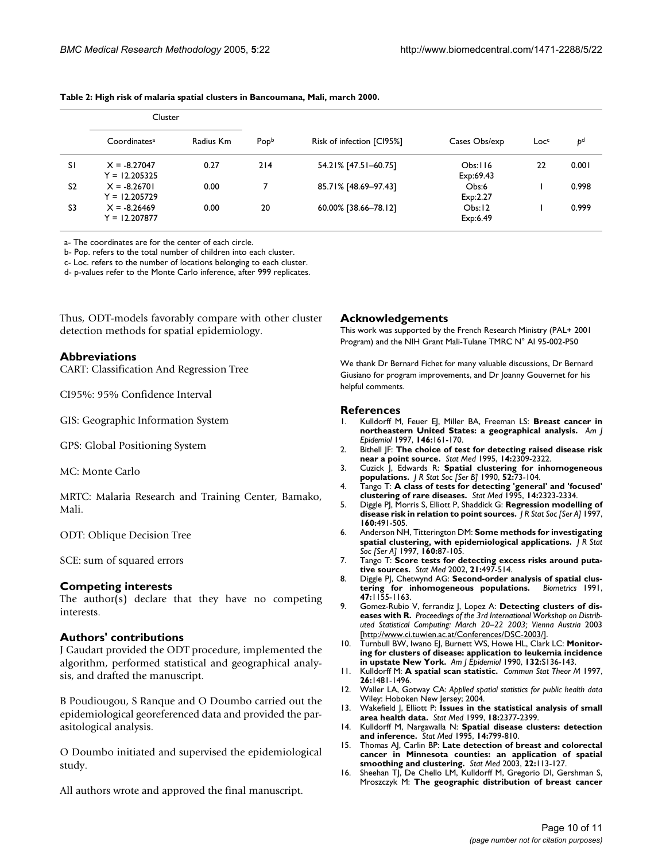|                | Cluster                           |           |      |                           |                      |      |                |
|----------------|-----------------------------------|-----------|------|---------------------------|----------------------|------|----------------|
|                | Coordinates <sup>a</sup>          | Radius Km | Popb | Risk of infection [Cl95%] | Cases Obs/exp        | Locc | p <sup>d</sup> |
| SΙ             | $X = -8.27047$<br>$Y = 12.205325$ | 0.27      | 214  | 54.21% [47.51-60.75]      | Obs:116<br>Exp:69.43 | 22   | 0.001          |
| S <sub>2</sub> | $X = -8.26701$<br>$Y = 12.205729$ | 0.00      | 7    | 85.71% [48.69-97.43]      | Obs:6<br>Exp: 2.27   |      | 0.998          |
| S3             | $X = -8.26469$<br>$Y = 12.207877$ | 0.00      | 20   | 60.00% [38.66-78.12]      | Obs:12<br>Exp:6.49   |      | 0.999          |

**Table 2: High risk of malaria spatial clusters in Bancoumana, Mali, march 2000.**

a- The coordinates are for the center of each circle.

b- Pop. refers to the total number of children into each cluster.

c- Loc. refers to the number of locations belonging to each cluster.

d- p-values refer to the Monte Carlo inference, after 999 replicates.

Thus, ODT-models favorably compare with other cluster detection methods for spatial epidemiology.

#### **Abbreviations**

CART: Classification And Regression Tree

CI95%: 95% Confidence Interval

GIS: Geographic Information System

GPS: Global Positioning System

MC: Monte Carlo

MRTC: Malaria Research and Training Center, Bamako, Mali.

ODT: Oblique Decision Tree

SCE: sum of squared errors

#### **Competing interests**

The author(s) declare that they have no competing interests.

#### **Authors' contributions**

J Gaudart provided the ODT procedure, implemented the algorithm, performed statistical and geographical analysis, and drafted the manuscript.

B Poudiougou, S Ranque and O Doumbo carried out the epidemiological georeferenced data and provided the parasitological analysis.

O Doumbo initiated and supervised the epidemiological study.

All authors wrote and approved the final manuscript.

#### **Acknowledgements**

This work was supported by the French Research Ministry (PAL+ 2001 Program) and the NIH Grant Mali-Tulane TMRC N° AI 95-002-P50

We thank Dr Bernard Fichet for many valuable discussions, Dr Bernard Giusiano for program improvements, and Dr Joanny Gouvernet for his helpful comments.

#### **References**

- 1. Kulldorff M, Feuer EJ, Miller BA, Freeman LS: **[Breast cancer in](http://www.ncbi.nlm.nih.gov/entrez/query.fcgi?cmd=Retrieve&db=PubMed&dopt=Abstract&list_uids=9230778) [northeastern United States: a geographical analysis.](http://www.ncbi.nlm.nih.gov/entrez/query.fcgi?cmd=Retrieve&db=PubMed&dopt=Abstract&list_uids=9230778)** *Am J Epidemiol* 1997, **146:**161-170.
- 2. Bithell JF: **[The choice of test for detecting raised disease risk](http://www.ncbi.nlm.nih.gov/entrez/query.fcgi?cmd=Retrieve&db=PubMed&dopt=Abstract&list_uids=8711271) [near a point source.](http://www.ncbi.nlm.nih.gov/entrez/query.fcgi?cmd=Retrieve&db=PubMed&dopt=Abstract&list_uids=8711271)** *Stat Med* 1995, **14:**2309-2322.
- 3. Cuzick J, Edwards R: **Spatial clustering for inhomogeneous populations.** *J R Stat Soc [Ser B]* 1990, **52:**73-104.
- 4. Tango T: **[A class of tests for detecting 'general' and 'focused'](http://www.ncbi.nlm.nih.gov/entrez/query.fcgi?cmd=Retrieve&db=PubMed&dopt=Abstract&list_uids=8711272) [clustering of rare diseases.](http://www.ncbi.nlm.nih.gov/entrez/query.fcgi?cmd=Retrieve&db=PubMed&dopt=Abstract&list_uids=8711272)** *Stat Med* 1995, **14:**2323-2334.
- 5. Diggle PJ, Morris S, Elliott P, Shaddick G: **Regression modelling of disease risk in relation to point sources.** *J R Stat Soc [Ser A]* 1997, **160:**491-505.
- 6. Anderson NH, Titterington DM: **Some methods for investigating spatial clustering, with epidemiological applications.** *J R Stat Soc [Ser A]* 1997, **160:**87-105.
- 7. Tango T: **[Score tests for detecting excess risks around puta](http://www.ncbi.nlm.nih.gov/entrez/query.fcgi?cmd=Retrieve&db=PubMed&dopt=Abstract&list_uids=11836732)[tive sources.](http://www.ncbi.nlm.nih.gov/entrez/query.fcgi?cmd=Retrieve&db=PubMed&dopt=Abstract&list_uids=11836732)** *Stat Med* 2002, **21:**497-514.
- 8. Diggle PJ, Chetwynd AG: **[Second-order analysis of spatial clus](http://www.ncbi.nlm.nih.gov/entrez/query.fcgi?cmd=Retrieve&db=PubMed&dopt=Abstract&list_uids=1742435)[tering for inhomogeneous populations.](http://www.ncbi.nlm.nih.gov/entrez/query.fcgi?cmd=Retrieve&db=PubMed&dopt=Abstract&list_uids=1742435)** *Biometrics* 1991, **47:**1155-1163.
- 9. Gomez-Rubio V, ferrandiz J, Lopez A: **Detecting clusters of diseases with R.** *Proceedings of the 3rd International Workshop on Distributed Statistical Computing: March 20–22 2003; Vienna Austria* 2003 [[http://www.ci.tuwien.ac.at/Conferences/DSC-2003/\]](http://www.ci.tuwien.ac.at/Conferences/DSC-2003/).
- 10. Turnbull BW, Iwano EJ, Burnett WS, Howe HL, Clark LC: **[Monitor](http://www.ncbi.nlm.nih.gov/entrez/query.fcgi?cmd=Retrieve&db=PubMed&dopt=Abstract&list_uids=2356825)[ing for clusters of disease: application to leukemia incidence](http://www.ncbi.nlm.nih.gov/entrez/query.fcgi?cmd=Retrieve&db=PubMed&dopt=Abstract&list_uids=2356825) [in upstate New York.](http://www.ncbi.nlm.nih.gov/entrez/query.fcgi?cmd=Retrieve&db=PubMed&dopt=Abstract&list_uids=2356825)** *Am J Epidemiol* 1990, **132:**S136-143.
- 11. Kulldorff M: **A spatial scan statistic.** *Commun Stat Theor M* 1997, **26:**1481-1496.
- 12. Waller LA, Gotway CA: *Applied spatial statistics for public health data* Wiley: Hoboken New Jersey; 2004.
- 13. Wakefield J, Elliott P: **[Issues in the statistical analysis of small](http://www.ncbi.nlm.nih.gov/entrez/query.fcgi?cmd=Retrieve&db=PubMed&dopt=Abstract&list_uids=10474147) [area health data.](http://www.ncbi.nlm.nih.gov/entrez/query.fcgi?cmd=Retrieve&db=PubMed&dopt=Abstract&list_uids=10474147)** *Stat Med* 1999, **18:**2377-2399.
- 14. Kulldorff M, Nargawalla N: **[Spatial disease clusters: detection](http://www.ncbi.nlm.nih.gov/entrez/query.fcgi?cmd=Retrieve&db=PubMed&dopt=Abstract&list_uids=7644860) [and inference.](http://www.ncbi.nlm.nih.gov/entrez/query.fcgi?cmd=Retrieve&db=PubMed&dopt=Abstract&list_uids=7644860)** *Stat Med* 1995, **14:**799-810.
- 15. Thomas AJ, Carlin BP: **[Late detection of breast and colorectal](http://www.ncbi.nlm.nih.gov/entrez/query.fcgi?cmd=Retrieve&db=PubMed&dopt=Abstract&list_uids=12486754) [cancer in Minnesota counties: an application of spatial](http://www.ncbi.nlm.nih.gov/entrez/query.fcgi?cmd=Retrieve&db=PubMed&dopt=Abstract&list_uids=12486754) [smoothing and clustering.](http://www.ncbi.nlm.nih.gov/entrez/query.fcgi?cmd=Retrieve&db=PubMed&dopt=Abstract&list_uids=12486754)** *Stat Med* 2003, **22:**113-127.
- 16. Sheehan TJ, De Chello LM, Kulldorff M, Gregorio DI, Gershman S, Mroszczyk M: **[The geographic distribution of breast cancer](http://www.ncbi.nlm.nih.gov/entrez/query.fcgi?cmd=Retrieve&db=PubMed&dopt=Abstract&list_uids=15291960)**